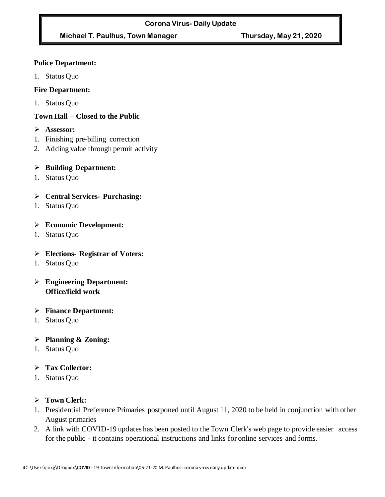# **Michael T. Paulhus, Town Manager Thursday, May 21, 2020**

#### **Police Department:**

1. Status Quo

### **Fire Department:**

1. Status Quo

# **Town Hall – Closed to the Public**

- ➢ **Assessor:**
- 1. Finishing pre-billing correction
- 2. Adding value through permit activity

#### ➢ **Building Department:**

1. Status Quo

# ➢ **Central Services- Purchasing:**

1. Status Quo

#### ➢ **Economic Development:**

1. Status Quo

# ➢ **Elections- Registrar of Voters:**

- 1. Status Quo
- ➢ **Engineering Department: Office/field work**

#### ➢ **Finance Department:**

1. Status Quo

# ➢ **Planning & Zoning:**

1. Status Quo

# ➢ **Tax Collector:**

1. Status Quo

#### ➢ **Town Clerk:**

- 1. Presidential Preference Primaries postponed until August 11, 2020 to be held in conjunction with other August primaries
- 2. A link with COVID-19 updates has been posted to the Town Clerk's web page to provide easier access for the public - it contains operational instructions and links for online services and forms.